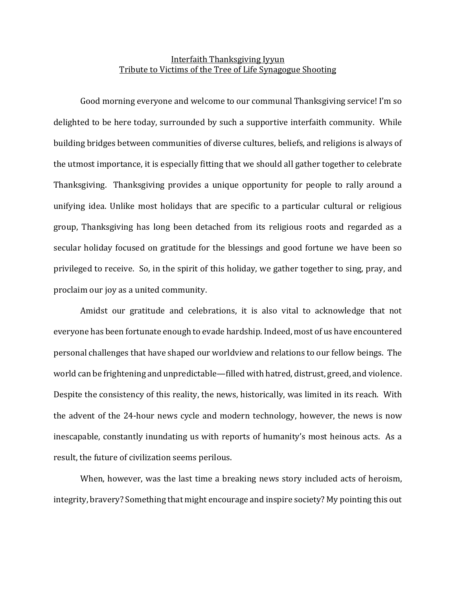## Interfaith Thanksgiving Iyyun Tribute to Victims of the Tree of Life Synagogue Shooting

Good morning everyone and welcome to our communal Thanksgiving service! I'm so delighted to be here today, surrounded by such a supportive interfaith community. While building bridges between communities of diverse cultures, beliefs, and religions is always of the utmost importance, it is especially fitting that we should all gather together to celebrate Thanksgiving. Thanksgiving provides a unique opportunity for people to rally around a unifying idea. Unlike most holidays that are specific to a particular cultural or religious group, Thanksgiving has long been detached from its religious roots and regarded as a secular holiday focused on gratitude for the blessings and good fortune we have been so privileged to receive. So, in the spirit of this holiday, we gather together to sing, pray, and proclaim our joy as a united community.

Amidst our gratitude and celebrations, it is also vital to acknowledge that not everyone has been fortunate enough to evade hardship. Indeed, most of us have encountered personal challenges that have shaped our worldview and relations to our fellow beings. The world can be frightening and unpredictable—filled with hatred, distrust, greed, and violence. Despite the consistency of this reality, the news, historically, was limited in its reach. With the advent of the 24-hour news cycle and modern technology, however, the news is now inescapable, constantly inundating us with reports of humanity's most heinous acts. As a result, the future of civilization seems perilous.

When, however, was the last time a breaking news story included acts of heroism, integrity, bravery? Something that might encourage and inspire society? My pointing this out